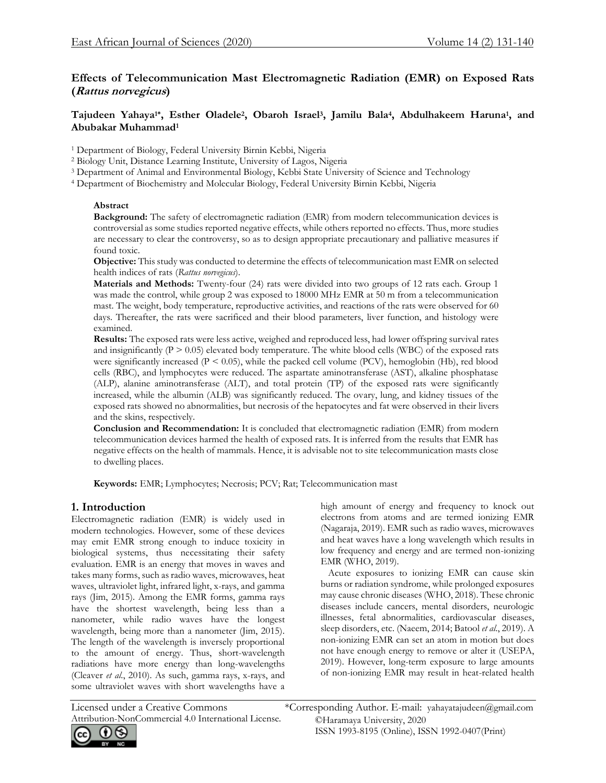# **Effects of Telecommunication Mast Electromagnetic Radiation (EMR) on Exposed Rats (Rattus norvegicus)**

## **Tajudeen Yahaya1\*, Esther Oladele<sup>2</sup> , Obaroh Israel<sup>3</sup> , Jamilu Bala<sup>4</sup> , Abdulhakeem Haruna<sup>1</sup> , and Abubakar Muhammad<sup>1</sup>**

<sup>1</sup> Department of Biology, Federal University Birnin Kebbi, Nigeria

<sup>2</sup> Biology Unit, Distance Learning Institute, University of Lagos, Nigeria

<sup>3</sup> Department of Animal and Environmental Biology, Kebbi State University of Science and Technology

<sup>4</sup> Department of Biochemistry and Molecular Biology, Federal University Birnin Kebbi, Nigeria

### **Abstract**

**Background:** The safety of electromagnetic radiation (EMR) from modern telecommunication devices is controversial as some studies reported negative effects, while others reported no effects. Thus, more studies are necessary to clear the controversy, so as to design appropriate precautionary and palliative measures if found toxic.

**Objective:** This study was conducted to determine the effects of telecommunication mast EMR on selected health indices of rats (*Rattus norvegicus*).

**Materials and Methods:** Twenty-four (24) rats were divided into two groups of 12 rats each. Group 1 was made the control, while group 2 was exposed to 18000 MHz EMR at 50 m from a telecommunication mast. The weight, body temperature, reproductive activities, and reactions of the rats were observed for 60 days. Thereafter, the rats were sacrificed and their blood parameters, liver function, and histology were examined.

**Results:** The exposed rats were less active, weighed and reproduced less, had lower offspring survival rates and insignificantly  $(P > 0.05)$  elevated body temperature. The white blood cells (WBC) of the exposed rats were significantly increased  $(P < 0.05)$ , while the packed cell volume  $(PCV)$ , hemoglobin (Hb), red blood cells (RBC), and lymphocytes were reduced. The aspartate aminotransferase (AST), alkaline phosphatase (ALP), alanine aminotransferase (ALT), and total protein (TP) of the exposed rats were significantly increased, while the albumin (ALB) was significantly reduced. The ovary, lung, and kidney tissues of the exposed rats showed no abnormalities, but necrosis of the hepatocytes and fat were observed in their livers and the skins, respectively.

**Conclusion and Recommendation:** It is concluded that electromagnetic radiation (EMR) from modern telecommunication devices harmed the health of exposed rats. It is inferred from the results that EMR has negative effects on the health of mammals. Hence, it is advisable not to site telecommunication masts close to dwelling places.

**Keywords:** EMR; Lymphocytes; Necrosis; PCV; Rat; Telecommunication mast

## **1. Introduction**

Electromagnetic radiation (EMR) is widely used in modern technologies. However, some of these devices may emit EMR strong enough to induce toxicity in biological systems, thus necessitating their safety evaluation. EMR is an energy that moves in waves and takes many forms, such as radio waves, microwaves, heat waves, ultraviolet light, infrared light, x-rays, and gamma rays (Jim, 2015). Among the EMR forms, gamma rays have the shortest wavelength, being less than a nanometer, while radio waves have the longest wavelength, being more than a nanometer (Jim, 2015). The length of the wavelength is inversely proportional to the amount of energy. Thus, short-wavelength radiations have more energy than long-wavelengths (Cleaver *et al*., 2010). As such, gamma rays, x-rays, and some ultraviolet waves with short wavelengths have a

high amount of energy and frequency to knock out electrons from atoms and are termed ionizing EMR (Nagaraja, 2019). EMR such as radio waves, microwaves and heat waves have a long wavelength which results in low frequency and energy and are termed non-ionizing EMR (WHO, 2019).

 Acute exposures to ionizing EMR can cause skin burns or radiation syndrome, while prolonged exposures may cause chronic diseases (WHO, 2018). These chronic diseases include cancers, mental disorders, neurologic illnesses, fetal abnormalities, cardiovascular diseases, sleep disorders, etc. (Naeem, 2014; Batool *et al*., 2019). A non-ionizing EMR can set an atom in motion but does not have enough energy to remove or alter it (USEPA, 2019). However, long-term exposure to large amounts of non-ionizing EMR may result in heat-related health

Attribution-NonCommercial 4.0 International License.

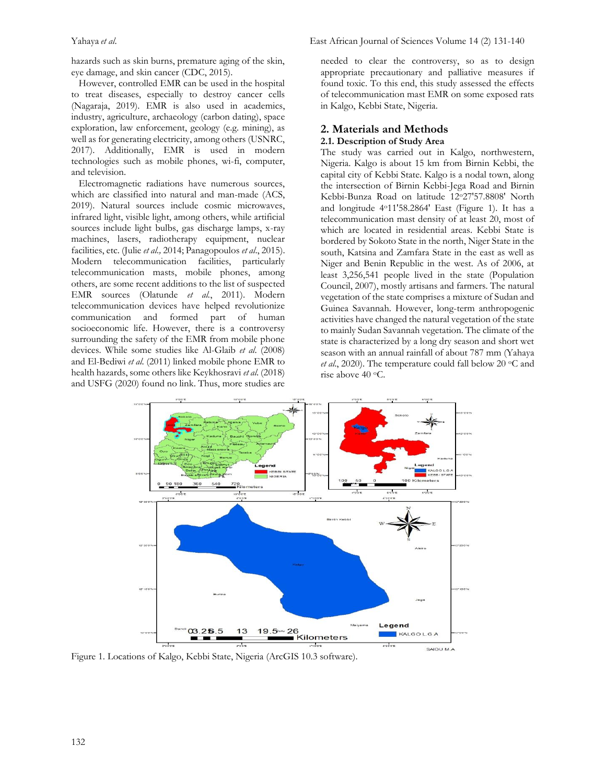hazards such as skin burns, premature aging of the skin, eye damage, and skin cancer (CDC, 2015).

 However, controlled EMR can be used in the hospital to treat diseases, especially to destroy cancer cells (Nagaraja, 2019). EMR is also used in academics, industry, agriculture, archaeology (carbon dating), space exploration, law enforcement, geology (e.g. mining), as well as for generating electricity, among others (USNRC, 2017). Additionally, EMR is used in modern technologies such as mobile phones, wi-fi, computer, and television.

 Electromagnetic radiations have numerous sources, which are classified into natural and man-made (ACS, 2019). Natural sources include cosmic microwaves, infrared light, visible light, among others, while artificial sources include light bulbs, gas discharge lamps, x-ray machines, lasers, radiotherapy equipment, nuclear facilities, etc. (Julie *et al.,* 2014; Panagopoulos *et al*., 2015). Modern telecommunication facilities, particularly telecommunication masts, mobile phones, among others, are some recent additions to the list of suspected EMR sources (Olatunde *et al.*, 2011). Modern telecommunication devices have helped revolutionize communication and formed part of human socioeconomic life. However, there is a controversy surrounding the safety of the EMR from mobile phone devices. While some studies like Al-Glaib *et al*. (2008) and El-Bediwi *et al*. (2011) linked mobile phone EMR to health hazards, some others like Keykhosravi *et al*. (2018) and USFG (2020) found no link. Thus, more studies are needed to clear the controversy, so as to design appropriate precautionary and palliative measures if found toxic. To this end, this study assessed the effects of telecommunication mast EMR on some exposed rats in Kalgo, Kebbi State, Nigeria.

#### **2. Materials and Methods**

#### **2.1. Description of Study Area**

The study was carried out in Kalgo, northwestern, Nigeria. Kalgo is about 15 km from Birnin Kebbi, the capital city of Kebbi State. Kalgo is a nodal town, along the intersection of Birnin Kebbi-Jega Road and Birnin Kebbi-Bunza Road on latitude 12o27'57.8808' North and longitude 4o11'58.2864' East (Figure 1). It has a telecommunication mast density of at least 20, most of which are located in residential areas. Kebbi State is bordered by Sokoto State in the north, Niger State in the south, Katsina and Zamfara State in the east as well as Niger and Benin Republic in the west. As of 2006, at least 3,256,541 people lived in the state (Population Council, 2007), mostly artisans and farmers. The natural vegetation of the state comprises a mixture of Sudan and Guinea Savannah. However, long-term anthropogenic activities have changed the natural vegetation of the state to mainly Sudan Savannah vegetation. The climate of the state is characterized by a long dry season and short wet season with an annual rainfall of about 787 mm (Yahaya et al., 2020). The temperature could fall below 20 °C and rise above 40 °C.



Figure 1. Locations of Kalgo, Kebbi State, Nigeria (ArcGIS 10.3 software).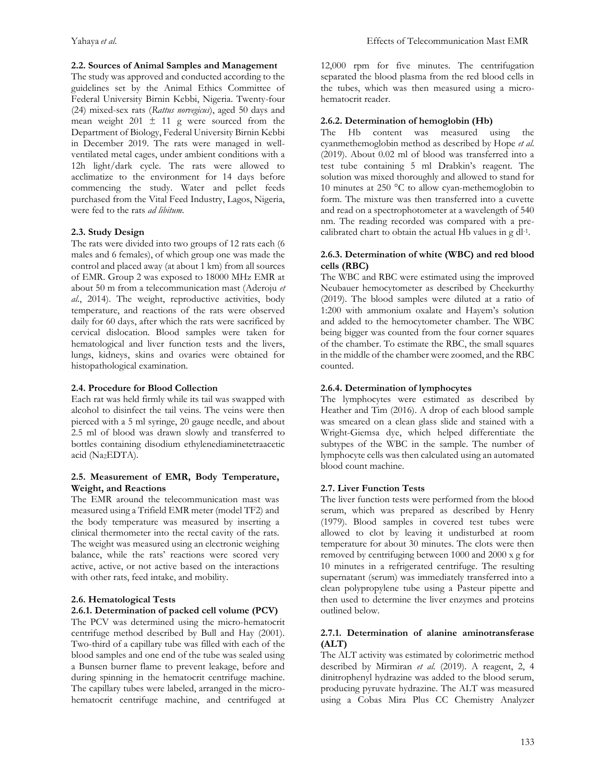### **2.2. Sources of Animal Samples and Management**

The study was approved and conducted according to the guidelines set by the Animal Ethics Committee of Federal University Birnin Kebbi, Nigeria. Twenty-four (24) mixed-sex rats (*Rattus norvegicus*), aged 50 days and mean weight 201  $\pm$  11 g were sourced from the Department of Biology, Federal University Birnin Kebbi in December 2019. The rats were managed in wellventilated metal cages, under ambient conditions with a 12h light/dark cycle. The rats were allowed to acclimatize to the environment for 14 days before commencing the study. Water and pellet feeds purchased from the Vital Feed Industry, Lagos, Nigeria, were fed to the rats *ad libitum*.

### **2.3. Study Design**

The rats were divided into two groups of 12 rats each (6 males and 6 females), of which group one was made the control and placed away (at about 1 km) from all sources of EMR. Group 2 was exposed to 18000 MHz EMR at about 50 m from a telecommunication mast (Aderoju *et al*., 2014). The weight, reproductive activities, body temperature, and reactions of the rats were observed daily for 60 days, after which the rats were sacrificed by cervical dislocation. Blood samples were taken for hematological and liver function tests and the livers, lungs, kidneys, skins and ovaries were obtained for histopathological examination.

### **2.4. Procedure for Blood Collection**

Each rat was held firmly while its tail was swapped with alcohol to disinfect the tail veins. The veins were then pierced with a 5 ml syringe, 20 gauge needle, and about 2.5 ml of blood was drawn slowly and transferred to bottles containing disodium ethylenediaminetetraacetic acid (Na2EDTA).

#### **2.5. Measurement of EMR, Body Temperature, Weight, and Reactions**

The EMR around the telecommunication mast was measured using a Trifield EMR meter (model TF2) and the body temperature was measured by inserting a clinical thermometer into the rectal cavity of the rats. The weight was measured using an electronic weighing balance, while the rats' reactions were scored very active, active, or not active based on the interactions with other rats, feed intake, and mobility.

### **2.6. Hematological Tests**

### **2.6.1. Determination of packed cell volume (PCV)**

The PCV was determined using the micro-hematocrit centrifuge method described by Bull and Hay (2001). Two-third of a capillary tube was filled with each of the blood samples and one end of the tube was sealed using a Bunsen burner flame to prevent leakage, before and during spinning in the hematocrit centrifuge machine. The capillary tubes were labeled, arranged in the microhematocrit centrifuge machine, and centrifuged at

12,000 rpm for five minutes. The centrifugation separated the blood plasma from the red blood cells in the tubes, which was then measured using a microhematocrit reader.

## **2.6.2. Determination of hemoglobin (Hb)**

The Hb content was measured using the cyanmethemoglobin method as described by Hope *et al*. (2019). About 0.02 ml of blood was transferred into a test tube containing 5 ml Drabkin's reagent. The solution was mixed thoroughly and allowed to stand for 10 minutes at 250 °C to allow cyan-methemoglobin to form. The mixture was then transferred into a cuvette and read on a spectrophotometer at a wavelength of 540 nm. The reading recorded was compared with a precalibrated chart to obtain the actual Hb values in g dl<sup>-1</sup>.

#### **2.6.3. Determination of white (WBC) and red blood cells (RBC)**

The WBC and RBC were estimated using the improved Neubauer hemocytometer as described by Cheekurthy (2019). The blood samples were diluted at a ratio of 1:200 with ammonium oxalate and Hayem's solution and added to the hemocytometer chamber. The WBC being bigger was counted from the four corner squares of the chamber. To estimate the RBC, the small squares in the middle of the chamber were zoomed, and the RBC counted.

## **2.6.4. Determination of lymphocytes**

The lymphocytes were estimated as described by Heather and Tim (2016). A drop of each blood sample was smeared on a clean glass slide and stained with a Wright-Giemsa dye, which helped differentiate the subtypes of the WBC in the sample. The number of lymphocyte cells was then calculated using an automated blood count machine.

### **2.7. Liver Function Tests**

The liver function tests were performed from the blood serum, which was prepared as described by Henry (1979). Blood samples in covered test tubes were allowed to clot by leaving it undisturbed at room temperature for about 30 minutes. The clots were then removed by centrifuging between 1000 and 2000 x g for 10 minutes in a refrigerated centrifuge. The resulting supernatant (serum) was immediately transferred into a clean polypropylene tube using a Pasteur pipette and then used to determine the liver enzymes and proteins outlined below.

### **2.7.1. Determination of alanine aminotransferase (ALT)**

The ALT activity was estimated by colorimetric method described by Mirmiran *et al*. (2019). A reagent, 2, 4 dinitrophenyl hydrazine was added to the blood serum, producing pyruvate hydrazine. The ALT was measured using a Cobas Mira Plus CC Chemistry Analyzer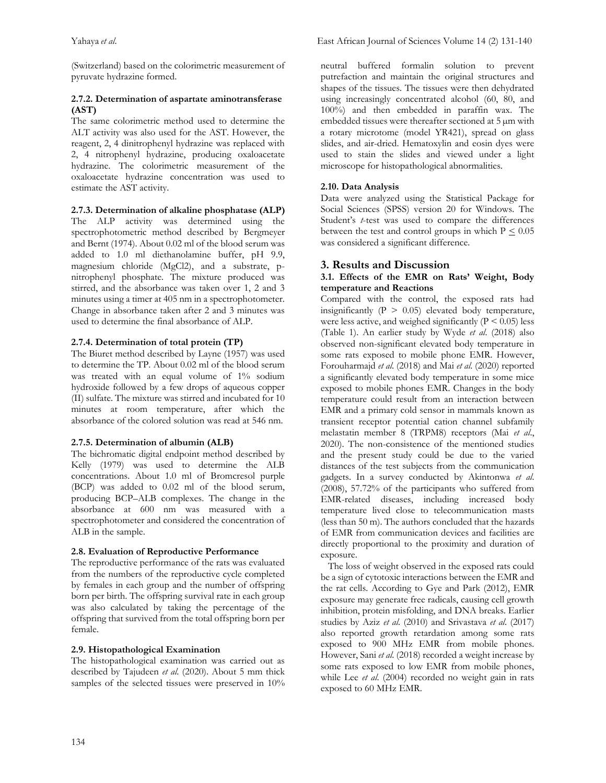(Switzerland) based on the colorimetric measurement of pyruvate hydrazine formed.

### **2.7.2. Determination of aspartate aminotransferase (AST)**

The same colorimetric method used to determine the ALT activity was also used for the AST. However, the reagent, 2, 4 dinitrophenyl hydrazine was replaced with 2, 4 nitrophenyl hydrazine, producing oxaloacetate hydrazine. The colorimetric measurement of the oxaloacetate hydrazine concentration was used to estimate the AST activity.

### **2.7.3. Determination of alkaline phosphatase (ALP)**

The ALP activity was determined using the spectrophotometric method described by Bergmeyer and Bernt (1974). About 0.02 ml of the blood serum was added to 1.0 ml diethanolamine buffer, pH 9.9, magnesium chloride (MgCl2), and a substrate, pnitrophenyl phosphate. The mixture produced was stirred, and the absorbance was taken over 1, 2 and 3 minutes using a timer at 405 nm in a spectrophotometer. Change in absorbance taken after 2 and 3 minutes was used to determine the final absorbance of ALP.

### **2.7.4. Determination of total protein (TP)**

The Biuret method described by Layne (1957) was used to determine the TP. About 0.02 ml of the blood serum was treated with an equal volume of 1% sodium hydroxide followed by a few drops of aqueous copper (II) sulfate. The mixture was stirred and incubated for 10 minutes at room temperature, after which the absorbance of the colored solution was read at 546 nm.

### **2.7.5. Determination of albumin (ALB)**

The bichromatic digital endpoint method described by Kelly (1979) was used to determine the ALB concentrations. About 1.0 ml of Bromcresol purple (BCP) was added to 0.02 ml of the blood serum, producing BCP–ALB complexes. The change in the absorbance at 600 nm was measured with a spectrophotometer and considered the concentration of ALB in the sample.

### **2.8. Evaluation of Reproductive Performance**

The reproductive performance of the rats was evaluated from the numbers of the reproductive cycle completed by females in each group and the number of offspring born per birth. The offspring survival rate in each group was also calculated by taking the percentage of the offspring that survived from the total offspring born per female.

### **2.9. Histopathological Examination**

The histopathological examination was carried out as described by Tajudeen *et al*. (2020). About 5 mm thick samples of the selected tissues were preserved in 10% neutral buffered formalin solution to prevent putrefaction and maintain the original structures and shapes of the tissues. The tissues were then dehydrated using increasingly concentrated alcohol (60, 80, and 100%) and then embedded in paraffin wax. The embedded tissues were thereafter sectioned at 5  $\mu$ m with a rotary microtome (model YR421), spread on glass slides, and air-dried. Hematoxylin and eosin dyes were used to stain the slides and viewed under a light microscope for histopathological abnormalities.

### **2.10. Data Analysis**

Data were analyzed using the Statistical Package for Social Sciences (SPSS) version 20 for Windows. The Student's *t*-test was used to compare the differences between the test and control groups in which  $P \le 0.05$ was considered a significant difference.

## **3. Results and Discussion**

#### **3.1. Effects of the EMR on Rats' Weight, Body temperature and Reactions**

Compared with the control, the exposed rats had insignificantly ( $P > 0.05$ ) elevated body temperature, were less active, and weighed significantly  $(P < 0.05)$  less (Table 1). An earlier study by Wyde *et al*. (2018) also observed non-significant elevated body temperature in some rats exposed to mobile phone EMR. However, Forouharmajd *et al*. (2018) and Mai *et al*. (2020) reported a significantly elevated body temperature in some mice exposed to mobile phones EMR. Changes in the body temperature could result from an interaction between EMR and a primary cold sensor in mammals known as transient receptor potential cation channel subfamily melastatin member 8 (TRPM8) receptors (Mai *et al*., 2020). The non-consistence of the mentioned studies and the present study could be due to the varied distances of the test subjects from the communication gadgets. In a survey conducted by Akintonwa *et al*. (2008), 57.72% of the participants who suffered from EMR-related diseases, including increased body temperature lived close to telecommunication masts (less than 50 m). The authors concluded that the hazards of EMR from communication devices and facilities are directly proportional to the proximity and duration of exposure.

 The loss of weight observed in the exposed rats could be a sign of cytotoxic interactions between the EMR and the rat cells. According to Gye and Park (2012), EMR exposure may generate free radicals, causing cell growth inhibition, protein misfolding, and DNA breaks. Earlier studies by Aziz *et al*. (2010) and Srivastava *et al*. (2017) also reported growth retardation among some rats exposed to 900 MHz EMR from mobile phones. However, Sani *et al*. (2018) recorded a weight increase by some rats exposed to low EMR from mobile phones, while Lee *et al*. (2004) recorded no weight gain in rats exposed to 60 MHz EMR.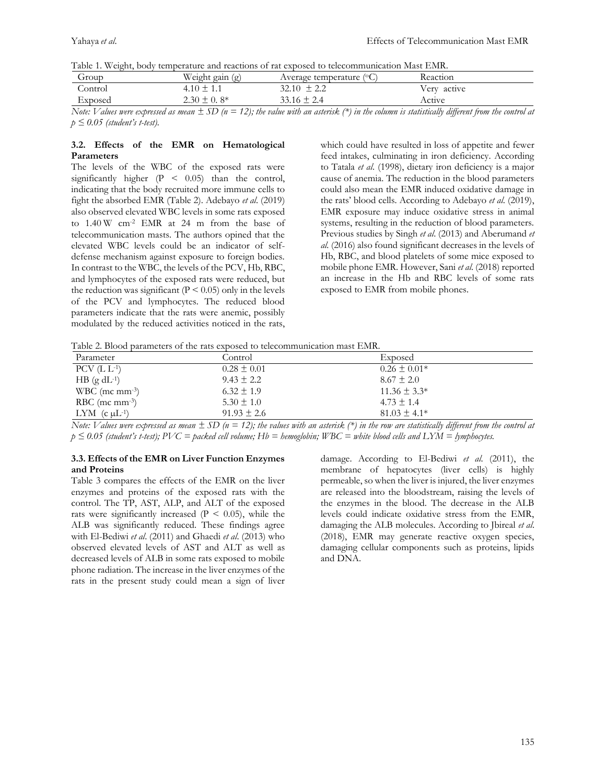|  |  |  |  |  | Table 1. Weight, body temperature and reactions of rat exposed to telecommunication Mast EMR. |
|--|--|--|--|--|-----------------------------------------------------------------------------------------------|
|--|--|--|--|--|-----------------------------------------------------------------------------------------------|

| Group   | Weight gain (g)  | Average temperature $(°C)$ | Reaction    |
|---------|------------------|----------------------------|-------------|
| Control | $.10 \pm 1.1$    | $32.10 \pm 2.2$            | Very active |
| Exposed | $2.30 \pm 0.8^*$ | $33.16 \pm 2.4$            | Active      |
|         |                  |                            |             |

*Note: Values were expressed as mean ± SD (n = 12); the value with an asterisk (\*) in the column is statistically different from the control at p ≤ 0.05 (student's t-test).*

#### **3.2. Effects of the EMR on Hematological Parameters**

The levels of the WBC of the exposed rats were significantly higher (P < 0.05) than the control, indicating that the body recruited more immune cells to fight the absorbed EMR (Table 2). Adebayo *et al*. (2019) also observed elevated WBC levels in some rats exposed to 1.40 W cm-2 EMR at 24 m from the base of telecommunication masts. The authors opined that the elevated WBC levels could be an indicator of selfdefense mechanism against exposure to foreign bodies. In contrast to the WBC, the levels of the PCV, Hb, RBC, and lymphocytes of the exposed rats were reduced, but the reduction was significant ( $P \le 0.05$ ) only in the levels of the PCV and lymphocytes. The reduced blood parameters indicate that the rats were anemic, possibly modulated by the reduced activities noticed in the rats, which could have resulted in loss of appetite and fewer feed intakes, culminating in iron deficiency. According to Tatala *et al*. (1998), dietary iron deficiency is a major cause of anemia. The reduction in the blood parameters could also mean the EMR induced oxidative damage in the rats' blood cells. According to Adebayo *et al*. (2019), EMR exposure may induce oxidative stress in animal systems, resulting in the reduction of blood parameters. Previous studies by Singh *et al*. (2013) and Aberumand *et al.* (2016) also found significant decreases in the levels of Hb, RBC, and blood platelets of some mice exposed to mobile phone EMR. However, Sani *et al*. (2018) reported an increase in the Hb and RBC levels of some rats exposed to EMR from mobile phones.

| Parameter                    | Control         | Exposed          |
|------------------------------|-----------------|------------------|
| PCV $(L L^{-1})$             | $0.28 \pm 0.01$ | $0.26 \pm 0.01*$ |
| $HB$ (g dL <sup>-1</sup> )   | $9.43 \pm 2.2$  | $8.67 \pm 2.0$   |
| $WBC$ (mc mm <sup>-3</sup> ) | $6.32 \pm 1.9$  | $11.36 \pm 3.3*$ |
| RBC (mc mm $\frac{3}{2}$ )   | $5.30 \pm 1.0$  | $4.73 \pm 1.4$   |
| LYM $(c \mu L^{-1})$         | $91.93 \pm 2.6$ | $81.03 \pm 4.1*$ |

*Note: Values were expressed as mean*  $\pm$  *SD* ( $n = 12$ ); *the values with an asterisk* (\*) *in the row are statistically different from the control at p ≤ 0.05 (student's t-test); PVC = packed cell volume; Hb = hemoglobin; WBC = white blood cells and LYM = lymphocytes.* 

#### **3.3. Effects of the EMR on Liver Function Enzymes and Proteins**

Table 3 compares the effects of the EMR on the liver enzymes and proteins of the exposed rats with the control. The TP, AST, ALP, and ALT of the exposed rats were significantly increased  $(P \le 0.05)$ , while the ALB was significantly reduced. These findings agree with El-Bediwi *et al*. (2011) and Ghaedi *et al*. (2013) who observed elevated levels of AST and ALT as well as decreased levels of ALB in some rats exposed to mobile phone radiation. The increase in the liver enzymes of the rats in the present study could mean a sign of liver

damage. According to El-Bediwi *et al*. (2011), the membrane of hepatocytes (liver cells) is highly permeable, so when the liver is injured, the liver enzymes are released into the bloodstream, raising the levels of the enzymes in the blood. The decrease in the ALB levels could indicate oxidative stress from the EMR, damaging the ALB molecules. According to Jbireal *et al*. (2018), EMR may generate reactive oxygen species, damaging cellular components such as proteins, lipids and DNA.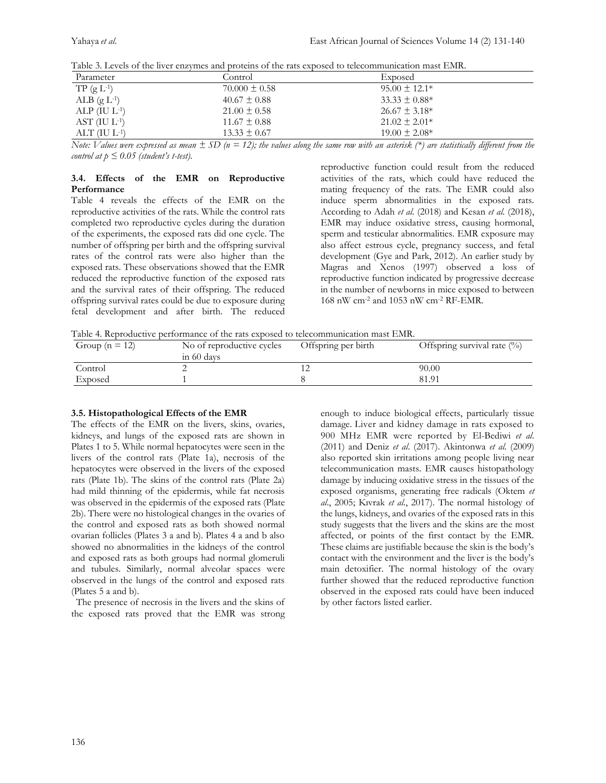| Parameter            | Control           | Exposed            |
|----------------------|-------------------|--------------------|
| $TP(gL^{-1})$        | $70.000 \pm 0.58$ | $95.00 \pm 12.1*$  |
| ALB $(g L^{-1})$     | $40.67 \pm 0.88$  | $33.33 \pm 0.88^*$ |
| ALP $(IU L^{-1})$    | $21.00 \pm 0.58$  | $26.67 \pm 3.18*$  |
| $AST$ (IU $L^{-1}$ ) | $11.67 \pm 0.88$  | $21.02 \pm 2.01*$  |
| $ALT$ (IU $L^{-1}$ ) | $13.33 \pm 0.67$  | $19.00 \pm 2.08*$  |

Table 3. Levels of the liver enzymes and proteins of the rats exposed to telecommunication mast EMR.

*Note: Values were expressed as mean*  $\pm$  *SD* ( $n = 12$ ); the values along the same row with an asterisk (\*) are statistically different from the *control at*  $p \leq 0.05$  *(student's t-test).* 

#### **3.4. Effects of the EMR on Reproductive Performance**

Table 4 reveals the effects of the EMR on the reproductive activities of the rats. While the control rats completed two reproductive cycles during the duration of the experiments, the exposed rats did one cycle. The number of offspring per birth and the offspring survival rates of the control rats were also higher than the exposed rats. These observations showed that the EMR reduced the reproductive function of the exposed rats and the survival rates of their offspring. The reduced offspring survival rates could be due to exposure during fetal development and after birth. The reduced reproductive function could result from the reduced activities of the rats, which could have reduced the mating frequency of the rats. The EMR could also induce sperm abnormalities in the exposed rats. According to Adah *et al*. (2018) and Kesan *et al*. (2018), EMR may induce oxidative stress, causing hormonal, sperm and testicular abnormalities. EMR exposure may also affect estrous cycle, pregnancy success, and fetal development (Gye and Park, 2012). An earlier study by Magras and Xenos (1997) observed a loss of reproductive function indicated by progressive decrease in the number of newborns in mice exposed to between 168 nW cm-2 and 1053 nW cm-2 RF-EMR.

Table 4. Reproductive performance of the rats exposed to telecommunication mast EMR.

| Group ( $n = 12$ ) | No of reproductive cycles<br>in 60 days | Offspring per birth | Offspring survival rate $(\%)$ |
|--------------------|-----------------------------------------|---------------------|--------------------------------|
| Control            |                                         |                     | 90.00                          |
| Exposed            |                                         |                     | 81.91                          |

#### **3.5. Histopathological Effects of the EMR**

The effects of the EMR on the livers, skins, ovaries, kidneys, and lungs of the exposed rats are shown in Plates 1 to 5. While normal hepatocytes were seen in the livers of the control rats (Plate 1a), necrosis of the hepatocytes were observed in the livers of the exposed rats (Plate 1b). The skins of the control rats (Plate 2a) had mild thinning of the epidermis, while fat necrosis was observed in the epidermis of the exposed rats (Plate 2b). There were no histological changes in the ovaries of the control and exposed rats as both showed normal ovarian follicles (Plates 3 a and b). Plates 4 a and b also showed no abnormalities in the kidneys of the control and exposed rats as both groups had normal glomeruli and tubules. Similarly, normal alveolar spaces were observed in the lungs of the control and exposed rats (Plates 5 a and b).

 The presence of necrosis in the livers and the skins of the exposed rats proved that the EMR was strong

enough to induce biological effects, particularly tissue damage. Liver and kidney damage in rats exposed to 900 MHz EMR were reported by El-Bediwi *et al*. (2011) and Deniz *et al*. (2017). Akintonwa *et al*. (2009) also reported skin irritations among people living near telecommunication masts. EMR causes histopathology damage by inducing oxidative stress in the tissues of the exposed organisms, generating free radicals (Oktem *et al*., 2005; Kıvrak *et al*., 2017). The normal histology of the lungs, kidneys, and ovaries of the exposed rats in this study suggests that the livers and the skins are the most affected, or points of the first contact by the EMR. These claims are justifiable because the skin is the body's contact with the environment and the liver is the body's main detoxifier. The normal histology of the ovary further showed that the reduced reproductive function observed in the exposed rats could have been induced by other factors listed earlier.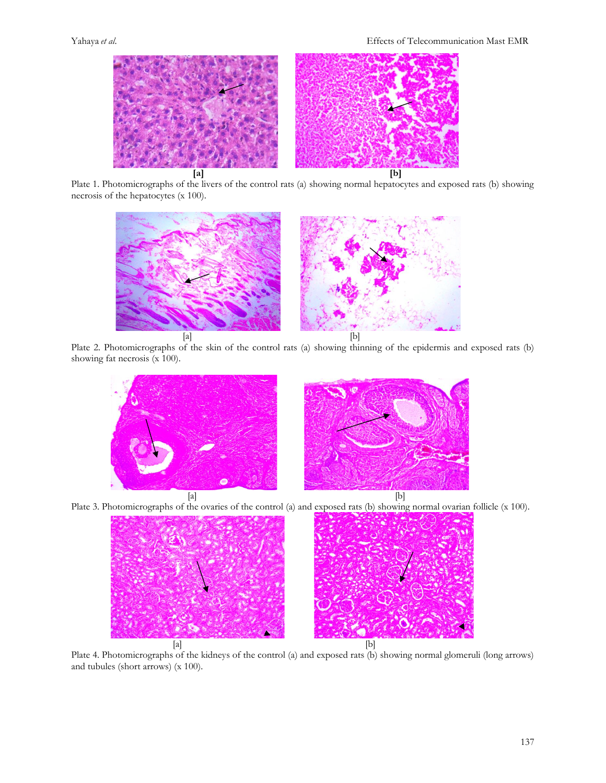

Plate 1. Photomicrographs of the livers of the control rats (a) showing normal hepatocytes and exposed rats (b) showing necrosis of the hepatocytes (x 100).



Plate 2. Photomicrographs of the skin of the control rats (a) showing thinning of the epidermis and exposed rats (b) showing fat necrosis (x 100).







Plate 4. Photomicrographs of the kidneys of the control (a) and exposed rats (b) showing normal glomeruli (long arrows) and tubules (short arrows) (x 100).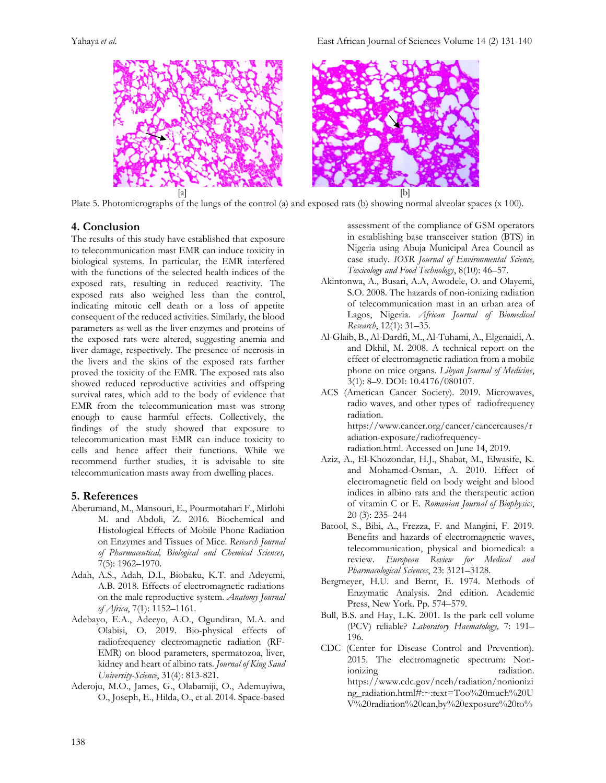Yahaya *et al*. East African Journal of Sciences Volume 14 (2) 131-140



Plate 5. Photomicrographs of the lungs of the control (a) and exposed rats (b) showing normal alveolar spaces (x 100).

## **4. Conclusion**

The results of this study have established that exposure to telecommunication mast EMR can induce toxicity in biological systems. In particular, the EMR interfered with the functions of the selected health indices of the exposed rats, resulting in reduced reactivity. The exposed rats also weighed less than the control, indicating mitotic cell death or a loss of appetite consequent of the reduced activities. Similarly, the blood parameters as well as the liver enzymes and proteins of the exposed rats were altered, suggesting anemia and liver damage, respectively. The presence of necrosis in the livers and the skins of the exposed rats further proved the toxicity of the EMR. The exposed rats also showed reduced reproductive activities and offspring survival rates, which add to the body of evidence that EMR from the telecommunication mast was strong enough to cause harmful effects. Collectively, the findings of the study showed that exposure to telecommunication mast EMR can induce toxicity to cells and hence affect their functions. While we recommend further studies, it is advisable to site telecommunication masts away from dwelling places.

# **5. References**

- Aberumand, M., Mansouri, E., Pourmotahari F., Mirlohi M. and Abdoli, Z. 2016. Biochemical and Histological Effects of Mobile Phone Radiation on Enzymes and Tissues of Mice. *Research Journal of Pharmaceutical, Biological and Chemical Sciences,* 7(5): 1962–1970.
- Adah, A.S., Adah, D.I., Biobaku, K.T. and Adeyemi, A.B. 2018. Effects of electromagnetic radiations on the male reproductive system. *Anatomy Journal of Africa*, 7(1): 1152–1161.
- Adebayo, E.A., Adeeyo, A.O., Ogundiran, M.A. and Olabisi, O. 2019. Bio-physical effects of radiofrequency electromagnetic radiation (RF-EMR) on blood parameters, spermatozoa, liver, kidney and heart of albino rats. *Journal of King Saud University-Science*, 31(4): 813-821.
- Aderoju, M.O., James, G., Olabamiji, O., Ademuyiwa, O., Joseph, E., Hilda, O., et al. 2014. Space-based

assessment of the compliance of GSM operators in establishing base transceiver station (BTS) in Nigeria using Abuja Municipal Area Council as case study. *IOSR Journal of Environmental Science, Toxicology and Food Technology*, 8(10): 46–57.

- Akintonwa, A., Busari, A.A, Awodele, O. and Olayemi, S.O. 2008. The hazards of non-ionizing radiation of telecommunication mast in an urban area of Lagos, Nigeria. *African Journal of Biomedical Research*, 12(1): 31–35.
- Al-Glaib, B., Al-Dardfi, M., Al-Tuhami, A., Elgenaidi, A. and Dkhil, M. 2008. A technical report on the effect of electromagnetic radiation from a mobile phone on mice organs. *Libyan Journal of Medicine*, 3(1): 8–9. DOI: [10.4176/080107.](https://www.researchgate.net/deref/http%3A%2F%2Fdx.doi.org%2F10.4176%2F080107)
- ACS (American Cancer Society). 2019. Microwaves, radio waves, and other types of radiofrequency radiation. [https://www.cancer.org/cancer/cancercauses/r](https://www.cancer.org/cancer/cancercauses/radiation-exposure/radiofrequency-radiation.html) [adiation-exposure/radiofrequency](https://www.cancer.org/cancer/cancercauses/radiation-exposure/radiofrequency-radiation.html)[radiation.html.](https://www.cancer.org/cancer/cancercauses/radiation-exposure/radiofrequency-radiation.html) Accessed on June 14, 2019.
- Aziz, A., El-Khozondar, H.J., Shabat, M., Elwasife, K. and Mohamed-Osman, A. 2010. Effect of electromagnetic field on body weight and blood indices in albino rats and the therapeutic action of vitamin C or E. *Romanian Journal of Biophysics*, 20 (3): 235–244
- Batool, S., Bibi, A., Frezza, F. and Mangini, F. 2019. Benefits and hazards of electromagnetic waves, telecommunication, physical and biomedical: a review. *European Review for Medical and Pharmacological Sciences*, 23: 3121–3128.
- Bergmeyer, H.U. and Bernt, E. 1974. Methods of Enzymatic Analysis. 2nd edition. Academic Press, New York. Pp. 574–579.
- Bull, B.S. and Hay, L.K. 2001. Is the park cell volume (PCV) reliable? *Laboratory Haematology,* 7: 191– 196.
- CDC (Center for Disease Control and Prevention). 2015. The electromagnetic spectrum: Nonionizing radiation. https://www.cdc.gov/nceh/radiation/nonionizi ng\_radiation.html#:~:text=Too%20much%20U V%20radiation%20can,by%20exposure%20to%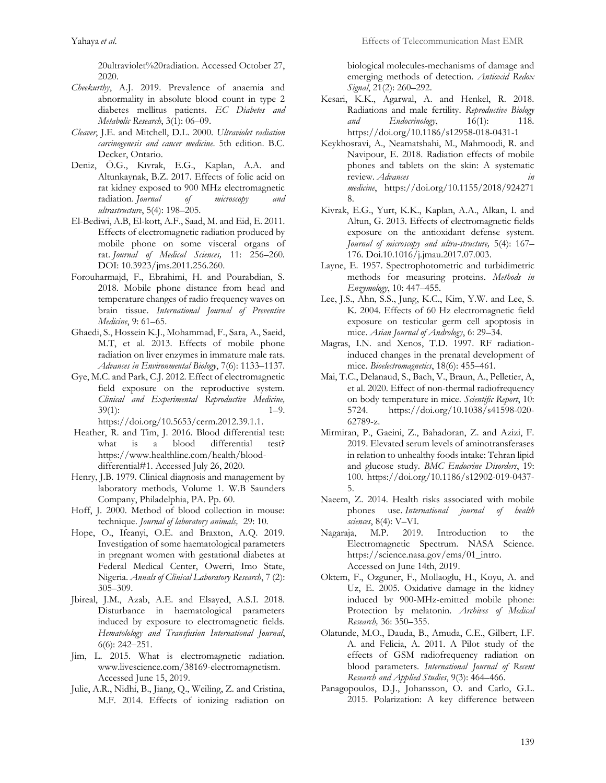20ultraviolet%20radiation. Accessed October 27, 2020.

- *Cheekurthy*, A.J. 2019. Prevalence of anaemia and abnormality in absolute blood count in type 2 diabetes mellitus patients. *EC Diabetes and Metabolic Research*, 3(1): 06–09.
- *Cleaver*, J.E. and Mitchell, D.L. 2000. *Ultraviolet radiation carcinogenesis and cancer medicine*. 5th edition. B.C. Decker, Ontario.
- Deniz, Ö.G., Kıvrak, E.G., Kaplan, A.A. and Altunkaynak, B.Z. 2017. Effects of folic acid on rat kidney exposed to 900 MHz electromagnetic radiation. *Journal of microscopy and ultrastructure*, 5(4): 198–205.
- El-Bediwi, A.B, El-kott, A.F., Saad, M. and Eid, E. 2011. Effects of electromagnetic radiation produced by mobile phone on some visceral organs of rat. *Journal of Medical Sciences,* 11: 256–260*.* DOI: [10.3923/jms.2011.256.260.](http://dx.doi.org/10.3923/jms.2011.256.260)
- Forouharmajd, F., Ebrahimi, H. and Pourabdian, S. 2018. Mobile phone distance from head and temperature changes of radio frequency waves on brain tissue. *International Journal of Preventive Medicine*, 9: 61–65.
- Ghaedi, S., Hossein K.J., Mohammad, F., Sara, A., Saeid, M.T, et al. 2013. Effects of mobile phone radiation on liver enzymes in immature male rats. *Advances in Environmental Biology*, 7(6): 1133–1137.
- Gye, M.C. and Park, C.J. 2012. Effect of electromagnetic field exposure on the reproductive system. *Clinical and Experimental Reproductive Medicine,* 39(1): 1–9.

[https://doi.org/10.5653/cerm.2012.39.1.1.](https://doi.org/10.5653/cerm.2012.39.1.1) 

- Heather, R. and Tim, J. 2016. Blood differential test: what is a blood differential test? [https://www.healthline.com/health/blood](https://www.healthline.com/health/blood-differential#1)[differential#1.](https://www.healthline.com/health/blood-differential#1) Accessed July 26, 2020.
- Henry, J.B. 1979. Clinical diagnosis and management by laboratory methods, Volume 1. W.B Saunders Company, Philadelphia, PA. Pp. 60.
- Hoff, J. 2000. Method of blood collection in mouse: technique. *Journal of laboratory animals,*29: 10*.*
- Hope, O., Ifeanyi, O.E. and Braxton, A.Q. 2019. Investigation of some haematological parameters in pregnant women with gestational diabetes at Federal Medical Center, Owerri, Imo State, Nigeria. *Annals of Clinical Laboratory Research*, 7 (2): 305–309.
- Jbireal, J.M., Azab, A.E. and Elsayed, A.S.I. 2018. Disturbance in haematological parameters induced by exposure to electromagnetic fields. *Hematolology and Transfusion International Journal*,  $6(6)$ : 242-251.
- Jim, L. 2015. What is electromagnetic radiation. [www.livescience.com/38169-electromagnetism.](http://www.livescience.com/38169-electromagnetism)  Accessed June 15, 2019.
- Julie, A.R., Nidhi, B., Jiang, Q., Weiling, Z. and Cristina, M.F. 2014. Effects of ionizing radiation on

biological molecules-mechanisms of damage and emerging methods of detection. *Antioxid Redox Signal*, 21(2): 260–292.

- Kesari, K.K., Agarwal, A. and Henkel, R. 2018. Radiations and male fertility. *Reproductive Biology*  and Endocrinology, 16(1): 118. https://doi.org/10.1186/s12958-018-0431-1
- Keykhosravi, A., Neamatshahi, M., Mahmoodi, R. and Navipour, E. 2018. Radiation effects of mobile phones and tablets on the skin: A systematic review. *Advances in medicine*, [https://doi.org/10.1155/2018/924271](https://doi.org/10.1155/2018/9242718) [8.](https://doi.org/10.1155/2018/9242718)
- Kivrak, E.G., Yurt, K.K., Kaplan, A.A., Alkan, I. and Altun, G. 2013. Effects of electromagnetic fields exposure on the antioxidant defense system. *Journal of microscopy and ultra-structure,* 5(4): 167– 176. Doi.10.1016/j.jmau.2017.07.003.
- Layne, E. 1957. Spectrophotometric and turbidimetric methods for measuring proteins. *Methods in Enzymology*, 10: 447–455.
- Lee, J.S., Ahn, S.S., Jung, K.C., Kim, Y.W. and Lee, S. K. 2004. Effects of 60 Hz electromagnetic field exposure on testicular germ cell apoptosis in mice. *Asian Journal of Andrology*, 6: 29–34.
- Magras, I.N. and Xenos, T.D. 1997. RF radiationinduced changes in the prenatal development of mice. *Bioelectromagnetics*, 18(6): 455–461.
- Mai, T.C., Delanaud, S., Bach, V., Braun, A., Pelletier, A, et al. 2020. Effect of non-thermal radiofrequency on body temperature in mice. *Scientific Report*, 10: 5724. [https://doi.org/10.1038/s41598-020-](https://doi.org/10.1038/s41598-020-62789-z) [62789-z.](https://doi.org/10.1038/s41598-020-62789-z)
- Mirmiran, P., Gaeini, Z., Bahadoran, Z. and Azizi, F. 2019. Elevated serum levels of aminotransferases in relation to unhealthy foods intake: Tehran lipid and glucose study. *BMC Endocrine Disorders*, 19: 100. https://doi.org/10.1186/s12902-019-0437- 5.
- Naeem, Z. 2014. Health risks associated with mobile phones use. *International journal of health sciences*, 8(4): V–VI.
- Nagaraja, M.P. 2019. Introduction to the Electromagnetic Spectrum. NASA Science. https://science.nasa.gov/ems/01\_intro. Accessed on June 14th, 2019.
- Oktem, F., Ozguner, F., Mollaoglu, H., Koyu, A. and Uz, E. 2005. Oxidative damage in the kidney induced by 900-MHz-emitted mobile phone: Protection by melatonin. *Archives of Medical Research,* 36: 350–355.
- Olatunde, M.O., Dauda, B., Amuda, C.E., Gilbert, I.F. A. and Felicia, A. 2011. A Pilot study of the effects of GSM radiofrequency radiation on blood parameters. *International Journal of Recent Research and Applied Studies*, 9(3): 464–466.
- Panagopoulos, D.J., Johansson, O. and Carlo, G.L. 2015. Polarization: A key difference between